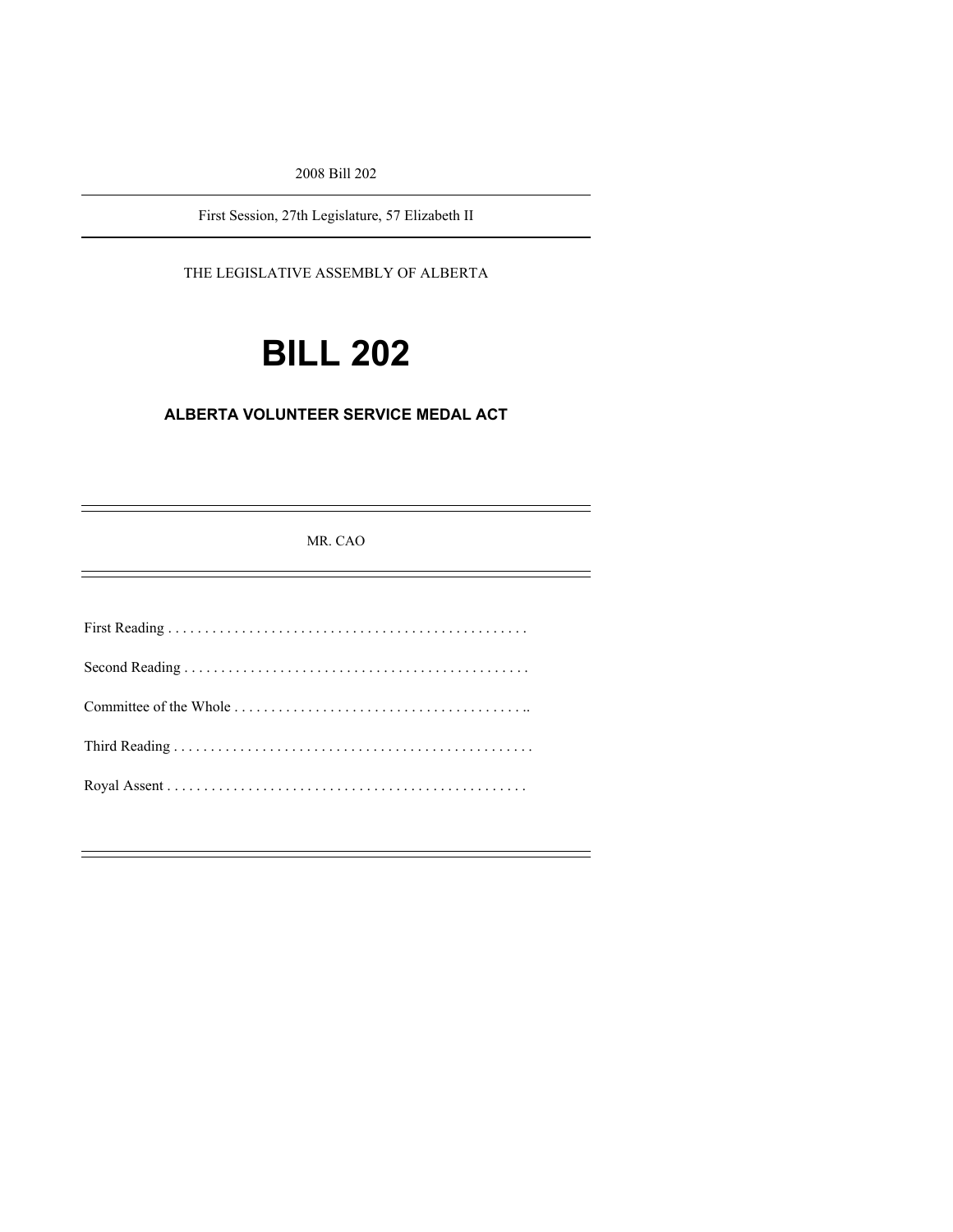2008 Bill 202

First Session, 27th Legislature, 57 Elizabeth II

THE LEGISLATIVE ASSEMBLY OF ALBERTA

# **BILL 202**

## **ALBERTA VOLUNTEER SERVICE MEDAL ACT**

MR. CAO

 $\equiv$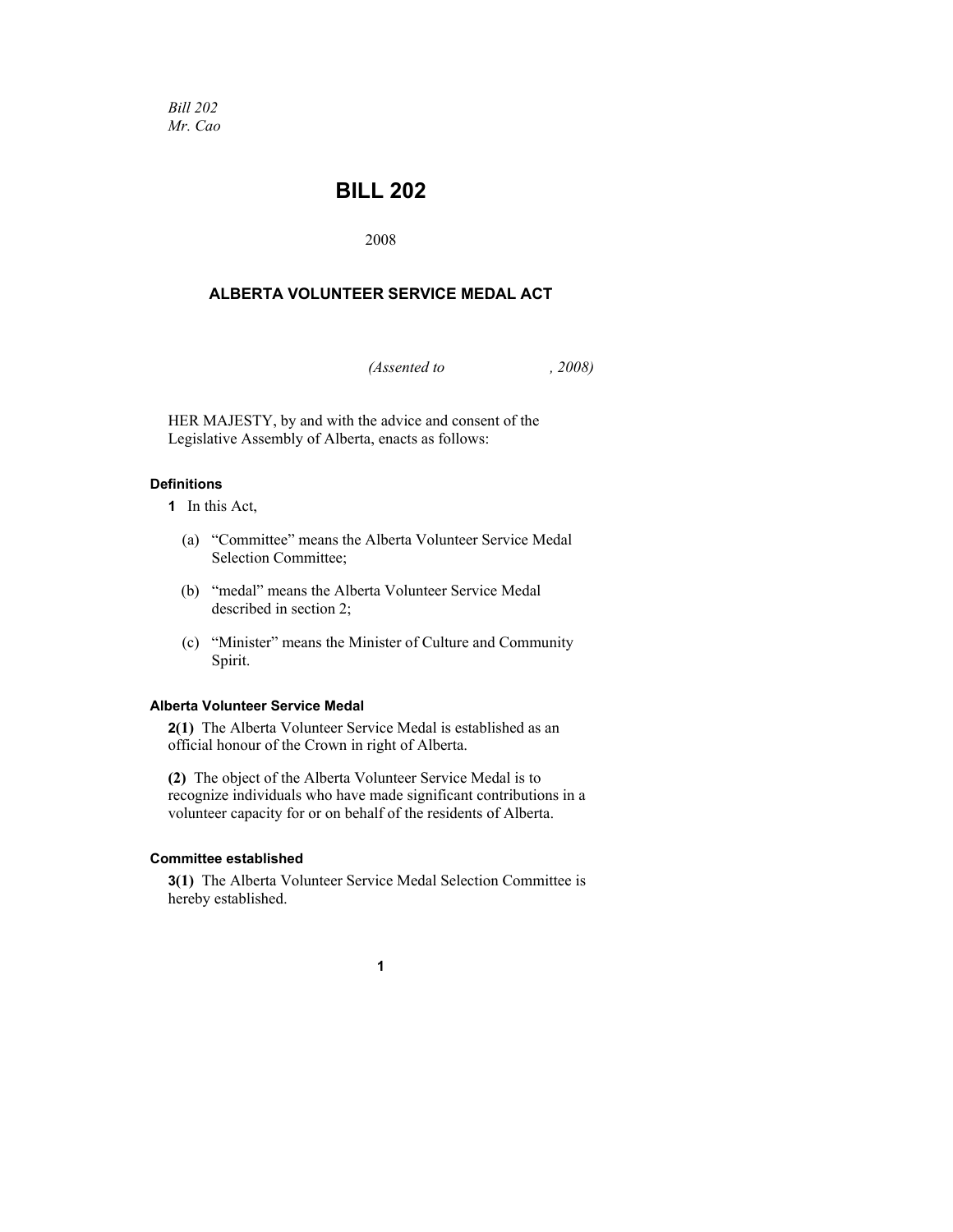*Bill 202 Mr. Cao* 

# **BILL 202**

2008

### **ALBERTA VOLUNTEER SERVICE MEDAL ACT**

*(Assented to , 2008)* 

HER MAJESTY, by and with the advice and consent of the Legislative Assembly of Alberta, enacts as follows:

#### **Definitions**

**1** In this Act,

- (a) "Committee" means the Alberta Volunteer Service Medal Selection Committee;
- (b) "medal" means the Alberta Volunteer Service Medal described in section 2;
- (c) "Minister" means the Minister of Culture and Community Spirit.

#### **Alberta Volunteer Service Medal**

**2(1)** The Alberta Volunteer Service Medal is established as an official honour of the Crown in right of Alberta.

**(2)** The object of the Alberta Volunteer Service Medal is to recognize individuals who have made significant contributions in a volunteer capacity for or on behalf of the residents of Alberta.

#### **Committee established**

**3(1)** The Alberta Volunteer Service Medal Selection Committee is hereby established.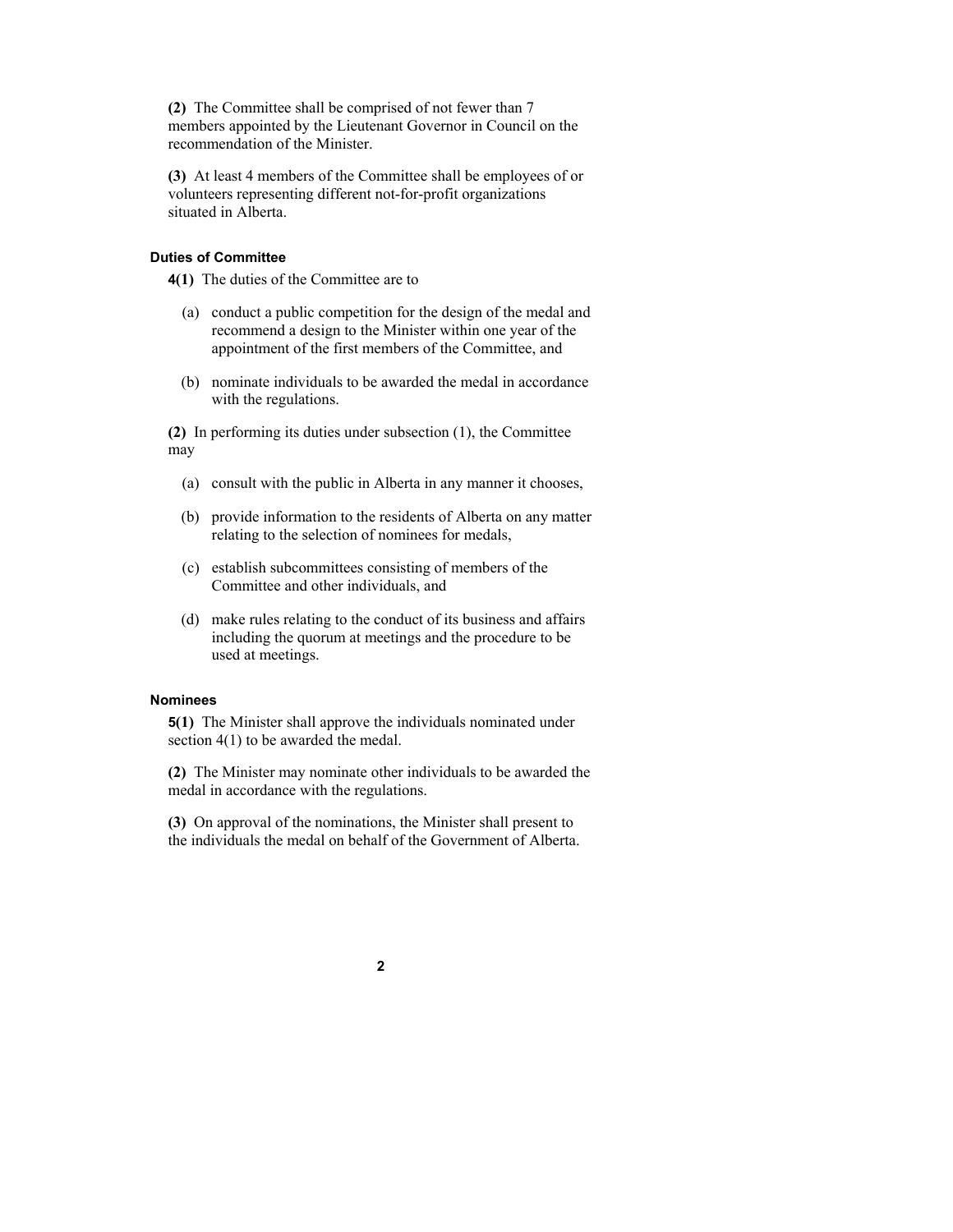**(2)** The Committee shall be comprised of not fewer than 7 members appointed by the Lieutenant Governor in Council on the recommendation of the Minister.

**(3)** At least 4 members of the Committee shall be employees of or volunteers representing different not-for-profit organizations situated in Alberta.

#### **Duties of Committee**

**4(1)** The duties of the Committee are to

- (a) conduct a public competition for the design of the medal and recommend a design to the Minister within one year of the appointment of the first members of the Committee, and
- (b) nominate individuals to be awarded the medal in accordance with the regulations.

**(2)** In performing its duties under subsection (1), the Committee may

- (a) consult with the public in Alberta in any manner it chooses,
- (b) provide information to the residents of Alberta on any matter relating to the selection of nominees for medals,
- (c) establish subcommittees consisting of members of the Committee and other individuals, and
- (d) make rules relating to the conduct of its business and affairs including the quorum at meetings and the procedure to be used at meetings.

#### **Nominees**

**5(1)** The Minister shall approve the individuals nominated under section 4(1) to be awarded the medal.

**(2)** The Minister may nominate other individuals to be awarded the medal in accordance with the regulations.

**(3)** On approval of the nominations, the Minister shall present to the individuals the medal on behalf of the Government of Alberta.